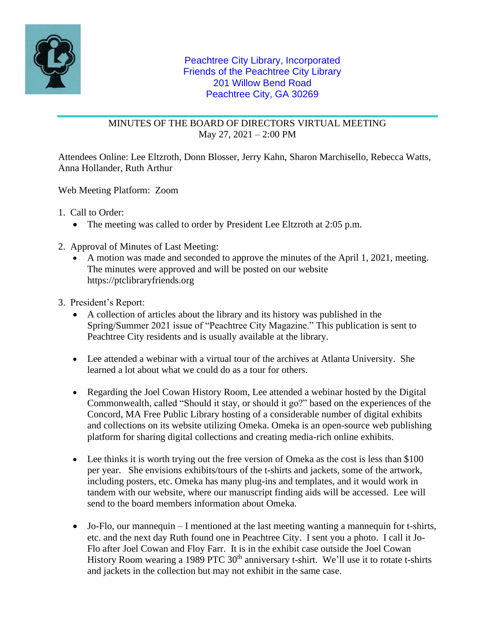

## MINUTES OF THE BOARD OF DIRECTORS VIRTUAL MEETING May 27, 2021 – 2:00 PM

Attendees Online: Lee Eltzroth, Donn Blosser, Jerry Kahn, Sharon Marchisello, Rebecca Watts, Anna Hollander, Ruth Arthur

Web Meeting Platform: Zoom

1. Call to Order:

- The meeting was called to order by President Lee Eltzroth at 2:05 p.m.
- 2. Approval of Minutes of Last Meeting:
	- A motion was made and seconded to approve the minutes of the April 1, 2021, meeting. The minutes were approved and will be posted on our website https://ptclibraryfriends.org
- 3. President's Report:
	- A collection of articles about the library and its history was published in the Spring/Summer 2021 issue of "Peachtree City Magazine." This publication is sent to Peachtree City residents and is usually available at the library.
	- Lee attended a webinar with a virtual tour of the archives at Atlanta University. She learned a lot about what we could do as a tour for others.
	- Regarding the Joel Cowan History Room, Lee attended a webinar hosted by the Digital Commonwealth, called "Should it stay, or should it go?" based on the experiences of the Concord, MA Free Public Library hosting of a considerable number of digital exhibits and collections on its website utilizing Omeka. Omeka is an open-source web publishing platform for sharing digital collections and creating media-rich online exhibits.
	- Lee thinks it is worth trying out the free version of Omeka as the cost is less than \$100 per year. She envisions exhibits/tours of the t-shirts and jackets, some of the artwork, including posters, etc. Omeka has many plug-ins and templates, and it would work in tandem with our website, where our manuscript finding aids will be accessed. Lee will send to the board members information about Omeka.
	- Jo-Flo, our mannequin I mentioned at the last meeting wanting a mannequin for t-shirts, etc. and the next day Ruth found one in Peachtree City. I sent you a photo. I call it Jo-Flo after Joel Cowan and Floy Farr. It is in the exhibit case outside the Joel Cowan History Room wearing a 1989 PTC  $30<sup>th</sup>$  anniversary t-shirt. We'll use it to rotate t-shirts and jackets in the collection but may not exhibit in the same case.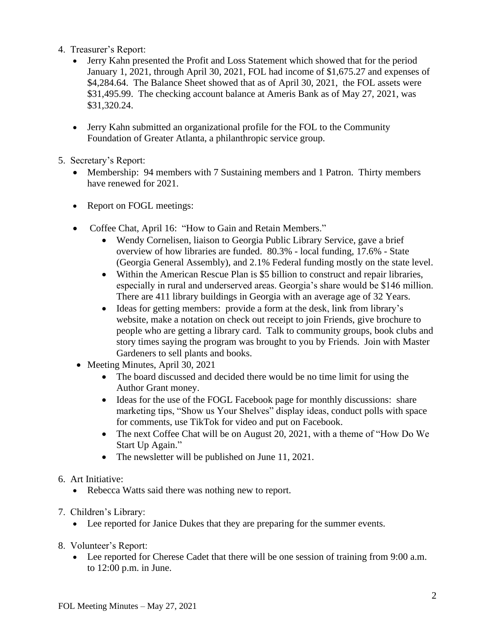- 4. Treasurer's Report:
	- Jerry Kahn presented the Profit and Loss Statement which showed that for the period January 1, 2021, through April 30, 2021, FOL had income of \$1,675.27 and expenses of \$4,284.64. The Balance Sheet showed that as of April 30, 2021, the FOL assets were \$31,495.99. The checking account balance at Ameris Bank as of May 27, 2021, was \$31,320.24.
	- Jerry Kahn submitted an organizational profile for the FOL to the Community Foundation of Greater Atlanta, a philanthropic service group.
- 5. Secretary's Report:
	- Membership: 94 members with 7 Sustaining members and 1 Patron. Thirty members have renewed for 2021.
	- Report on FOGL meetings:
	- Coffee Chat, April 16: "How to Gain and Retain Members."
		- Wendy Cornelisen, liaison to Georgia Public Library Service, gave a brief overview of how libraries are funded. 80.3% - local funding, 17.6% - State (Georgia General Assembly), and 2.1% Federal funding mostly on the state level.
		- Within the American Rescue Plan is \$5 billion to construct and repair libraries, especially in rural and underserved areas. Georgia's share would be \$146 million. There are 411 library buildings in Georgia with an average age of 32 Years.
		- Ideas for getting members: provide a form at the desk, link from library's website, make a notation on check out receipt to join Friends, give brochure to people who are getting a library card. Talk to community groups, book clubs and story times saying the program was brought to you by Friends. Join with Master Gardeners to sell plants and books.
	- Meeting Minutes, April 30, 2021
		- The board discussed and decided there would be no time limit for using the Author Grant money.
		- Ideas for the use of the FOGL Facebook page for monthly discussions: share marketing tips, "Show us Your Shelves" display ideas, conduct polls with space for comments, use TikTok for video and put on Facebook.
		- The next Coffee Chat will be on August 20, 2021, with a theme of "How Do We" Start Up Again."
		- The newsletter will be published on June 11, 2021.
- 6. Art Initiative:
	- Rebecca Watts said there was nothing new to report.
- 7. Children's Library:
	- Lee reported for Janice Dukes that they are preparing for the summer events.
- 8. Volunteer's Report:
	- Lee reported for Cherese Cadet that there will be one session of training from 9:00 a.m. to 12:00 p.m. in June.